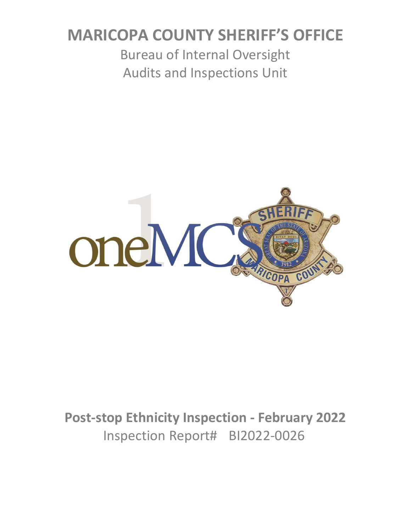# **MARICOPA COUNTY SHERIFF'S OFFICE**

Bureau of Internal Oversight Audits and Inspections Unit



**Post-stop Ethnicity Inspection - February 2022** Inspection Report# BI2022-0026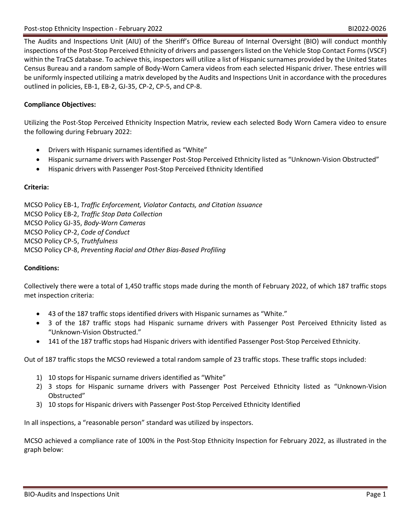The Audits and Inspections Unit (AIU) of the Sheriff's Office Bureau of Internal Oversight (BIO) will conduct monthly inspections of the Post-Stop Perceived Ethnicity of drivers and passengers listed on the Vehicle Stop Contact Forms (VSCF) within the TraCS database. To achieve this, inspectors will utilize a list of Hispanic surnames provided by the United States Census Bureau and a random sample of Body-Worn Camera videos from each selected Hispanic driver. These entries will be uniformly inspected utilizing a matrix developed by the Audits and Inspections Unit in accordance with the procedures outlined in policies, EB-1, EB-2, GJ-35, CP-2, CP-5, and CP-8.

## **Compliance Objectives:**

Utilizing the Post-Stop Perceived Ethnicity Inspection Matrix, review each selected Body Worn Camera video to ensure the following during February 2022:

- Drivers with Hispanic surnames identified as "White"
- Hispanic surname drivers with Passenger Post-Stop Perceived Ethnicity listed as "Unknown-Vision Obstructed"
- Hispanic drivers with Passenger Post-Stop Perceived Ethnicity Identified

### **Criteria:**

MCSO Policy EB-1, *Traffic Enforcement, Violator Contacts, and Citation Issuance* MCSO Policy EB-2, *Traffic Stop Data Collection* MCSO Policy GJ-35, *Body-Worn Cameras* MCSO Policy CP-2, *Code of Conduct* MCSO Policy CP-5, *Truthfulness* MCSO Policy CP-8, *Preventing Racial and Other Bias-Based Profiling*

### **Conditions:**

Collectively there were a total of 1,450 traffic stops made during the month of February 2022, of which 187 traffic stops met inspection criteria:

- 43 of the 187 traffic stops identified drivers with Hispanic surnames as "White."
- 3 of the 187 traffic stops had Hispanic surname drivers with Passenger Post Perceived Ethnicity listed as "Unknown-Vision Obstructed."
- 141 of the 187 traffic stops had Hispanic drivers with identified Passenger Post-Stop Perceived Ethnicity.

Out of 187 traffic stops the MCSO reviewed a total random sample of 23 traffic stops. These traffic stops included:

- 1) 10 stops for Hispanic surname drivers identified as "White"
- 2) 3 stops for Hispanic surname drivers with Passenger Post Perceived Ethnicity listed as "Unknown-Vision Obstructed"
- 3) 10 stops for Hispanic drivers with Passenger Post-Stop Perceived Ethnicity Identified

In all inspections, a "reasonable person" standard was utilized by inspectors.

MCSO achieved a compliance rate of 100% in the Post-Stop Ethnicity Inspection for February 2022, as illustrated in the graph below: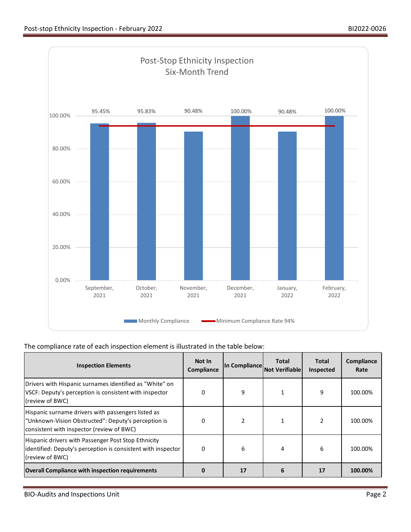

## The compliance rate of each inspection element is illustrated in the table below:

| <b>Inspection Elements</b>                                                                                                                             | Not In<br>Compliance | In Compliance | Total<br><b>Not Verifiable</b> | Total<br>Inspected | Compliance<br>Rate |
|--------------------------------------------------------------------------------------------------------------------------------------------------------|----------------------|---------------|--------------------------------|--------------------|--------------------|
| Drivers with Hispanic surnames identified as "White" on<br>VSCF: Deputy's perception is consistent with inspector<br>(review of BWC)                   | 0                    | 9             |                                | 9                  | 100.00%            |
| Hispanic surname drivers with passengers listed as<br>"Unknown-Vision Obstructed": Deputy's perception is<br>consistent with inspector (review of BWC) | 0                    | 2             |                                |                    | 100.00%            |
| Hispanic drivers with Passenger Post Stop Ethnicity<br>identified: Deputy's perception is consistent with inspector<br>(review of BWC)                 | O                    | 6             | 4                              | 6                  | 100.00%            |
| <b>Overall Compliance with inspection requirements</b>                                                                                                 |                      | 17            | 6                              | 17                 | 100.00%            |